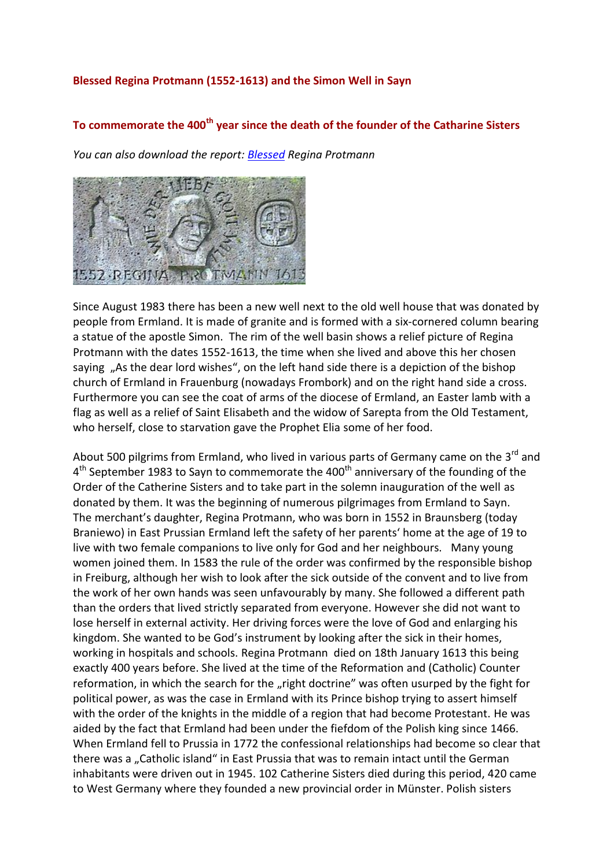## **Blessed Regina Protmann (1552-1613) and the Simon Well in Sayn**

## **To commemorate the 400th year since the death of the founder of the Catharine Sisters**

*You can also download the report: [Blessed](http://www.abtei-sayn.de/fileadmin/Webseite/PDF/Selige_Regina_Protmann.pdf) Regina Protmann*



Since August 1983 there has been a new well next to the old well house that was donated by people from Ermland. It is made of granite and is formed with a six-cornered column bearing a statue of the apostle Simon. The rim of the well basin shows a relief picture of Regina Protmann with the dates 1552-1613, the time when she lived and above this her chosen saying "As the dear lord wishes", on the left hand side there is a depiction of the bishop church of Ermland in Frauenburg (nowadays Frombork) and on the right hand side a cross. Furthermore you can see the coat of arms of the diocese of Ermland, an Easter lamb with a flag as well as a relief of Saint Elisabeth and the widow of Sarepta from the Old Testament, who herself, close to starvation gave the Prophet Elia some of her food.

About 500 pilgrims from Ermland, who lived in various parts of Germany came on the 3<sup>rd</sup> and 4<sup>th</sup> September 1983 to Sayn to commemorate the 400<sup>th</sup> anniversary of the founding of the Order of the Catherine Sisters and to take part in the solemn inauguration of the well as donated by them. It was the beginning of numerous pilgrimages from Ermland to Sayn. The merchant's daughter, Regina Protmann, who was born in 1552 in Braunsberg (today Braniewo) in East Prussian Ermland left the safety of her parents' home at the age of 19 to live with two female companions to live only for God and her neighbours. Many young women joined them. In 1583 the rule of the order was confirmed by the responsible bishop in Freiburg, although her wish to look after the sick outside of the convent and to live from the work of her own hands was seen unfavourably by many. She followed a different path than the orders that lived strictly separated from everyone. However she did not want to lose herself in external activity. Her driving forces were the love of God and enlarging his kingdom. She wanted to be God's instrument by looking after the sick in their homes, working in hospitals and schools. Regina Protmann died on 18th January 1613 this being exactly 400 years before. She lived at the time of the Reformation and (Catholic) Counter reformation, in which the search for the "right doctrine" was often usurped by the fight for political power, as was the case in Ermland with its Prince bishop trying to assert himself with the order of the knights in the middle of a region that had become Protestant. He was aided by the fact that Ermland had been under the fiefdom of the Polish king since 1466. When Ermland fell to Prussia in 1772 the confessional relationships had become so clear that there was a "Catholic island" in East Prussia that was to remain intact until the German inhabitants were driven out in 1945. 102 Catherine Sisters died during this period, 420 came to West Germany where they founded a new provincial order in Münster. Polish sisters